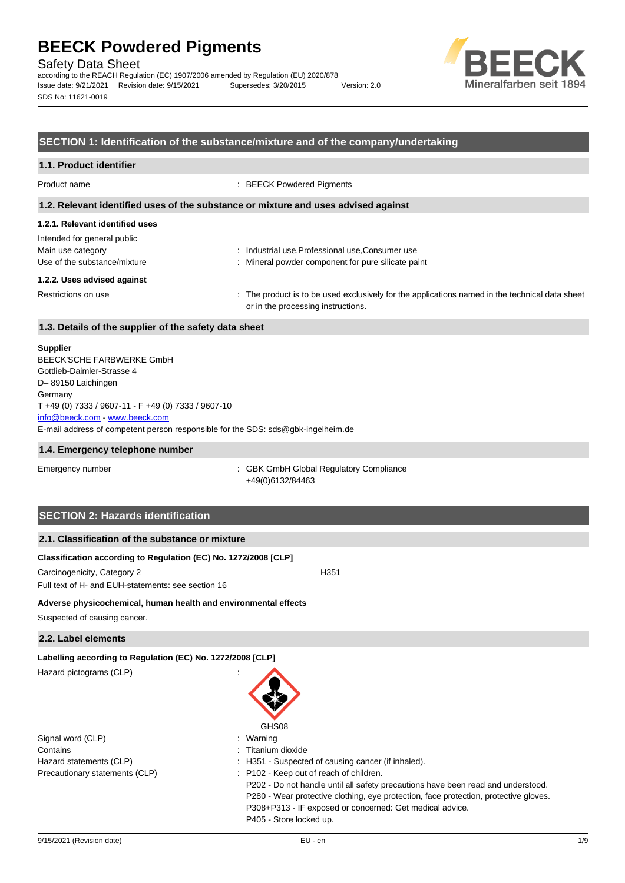Safety Data Sheet

according to the REACH Regulation (EC) 1907/2006 amended by Regulation (EU) 2020/878 Issue date: 9/21/2021 Revision date: 9/15/2021 Supersedes: 3/20/2015 Version: 2.0 SDS No: 11621-0019



## **SECTION 1: Identification of the substance/mixture and of the company/undertaking**

### **1.1. Product identifier**

Product name  $\qquad \qquad : \text{BEECK}$  Powdered Pigments

### **1.2. Relevant identified uses of the substance or mixture and uses advised against**

## **1.2.1. Relevant identified uses**

| Intended for general public  |                                                                                                |
|------------------------------|------------------------------------------------------------------------------------------------|
| Main use category            | : Industrial use, Professional use, Consumer use                                               |
| Use of the substance/mixture | : Mineral powder component for pure silicate paint                                             |
| 1.2.2. Uses advised against  |                                                                                                |
| Restrictions on use          | : The product is to be used exclusively for the applications named in the technical data sheet |

or in the processing instructions.

# **1.3. Details of the supplier of the safety data sheet**

#### **Supplier**

E-mail address of competent person responsible for the SDS: sds@gbk-ingelheim.de BEECK'SCHE FARBWERKE GmbH Gottlieb-Daimler-Strasse 4 D– 89150 Laichingen **Germany** T +49 (0) 7333 / 9607-11 - F +49 (0) 7333 / 9607-10 [info@beeck.com](mailto:info@beeck.com) - [www.beeck.com](http://www.beeck.com/)

#### **1.4. Emergency telephone number**

Emergency number **Emergency** number **1996** is GBK GmbH Global Regulatory Compliance +49(0)6132/84463

## **SECTION 2: Hazards identification**

## **2.1. Classification of the substance or mixture**

### **Classification according to Regulation (EC) No. 1272/2008 [CLP]**

Carcinogenicity, Category 2 H351 Full text of H- and EUH-statements: see section 16

#### **Adverse physicochemical, human health and environmental effects**

Suspected of causing cancer.

## **2.2. Label elements**

**Labelling according to Regulation (EC) No. 1272/2008 [CLP]**

Hazard pictograms (CLP) :

|                                | GHS08                                                                                |
|--------------------------------|--------------------------------------------------------------------------------------|
| Signal word (CLP)              | : Warning                                                                            |
| Contains                       | : Titanium dioxide                                                                   |
| Hazard statements (CLP)        | : H351 - Suspected of causing cancer (if inhaled).                                   |
| Precautionary statements (CLP) | : P102 - Keep out of reach of children.                                              |
|                                | P202 - Do not handle until all safety precautions have been read and understood.     |
|                                | P280 - Wear protective clothing, eye protection, face protection, protective gloves. |
|                                | P308+P313 - IF exposed or concerned: Get medical advice.                             |
|                                | P405 - Store locked up.                                                              |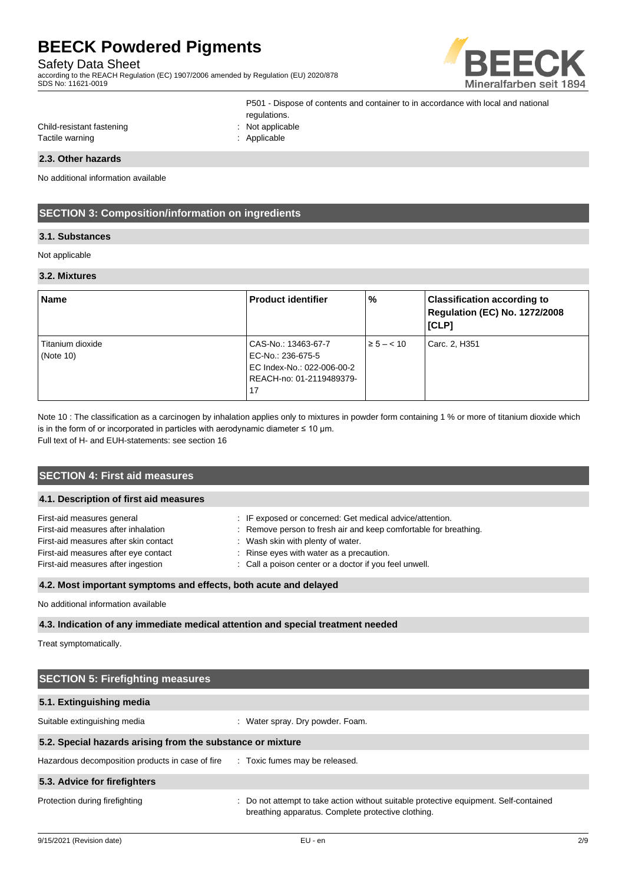# Safety Data Sheet

according to the REACH Regulation (EC) 1907/2006 amended by Regulation (EU) 2020/878 SDS No: 11621-0019



| P501 - Dispose of contents and container to in accordance with local and national |
|-----------------------------------------------------------------------------------|
| regulations.                                                                      |
| $:$ Not applicable                                                                |
| : Applicable                                                                      |

# **2.3. Other hazards**

Child-resistant fastening Tactile warning

No additional information available

# **SECTION 3: Composition/information on ingredients**

## **3.1. Substances**

#### Not applicable

#### **3.2. Mixtures**

| <b>Name</b>                      | <b>Product identifier</b>                                              | $\frac{9}{6}$  | <b>Classification according to</b><br><b>Regulation (EC) No. 1272/2008</b><br>[CLP] |
|----------------------------------|------------------------------------------------------------------------|----------------|-------------------------------------------------------------------------------------|
| Titanium dioxide<br>(Note $10$ ) | CAS-No.: 13463-67-7<br>EC-No.: 236-675-5<br>EC Index-No.: 022-006-00-2 | $\ge 5 - < 10$ | Carc. 2, H351                                                                       |
|                                  | REACH-no: 01-2119489379-<br>17                                         |                |                                                                                     |

Note 10 : The classification as a carcinogen by inhalation applies only to mixtures in powder form containing 1 % or more of titanium dioxide which is in the form of or incorporated in particles with aerodynamic diameter  $\leq 10$  µm.

Full text of H- and EUH-statements: see section 16

| <b>SECTION 4: First aid measures</b>   |                                                                  |  |  |
|----------------------------------------|------------------------------------------------------------------|--|--|
|                                        |                                                                  |  |  |
| 4.1. Description of first aid measures |                                                                  |  |  |
| First-aid measures general             | : IF exposed or concerned: Get medical advice/attention.         |  |  |
| First-aid measures after inhalation    | : Remove person to fresh air and keep comfortable for breathing. |  |  |
| First-aid measures after skin contact  | : Wash skin with plenty of water.                                |  |  |
| First-aid measures after eye contact   | : Rinse eyes with water as a precaution.                         |  |  |
| First-aid measures after ingestion     | : Call a poison center or a doctor if you feel unwell.           |  |  |
|                                        |                                                                  |  |  |

## **4.2. Most important symptoms and effects, both acute and delayed**

No additional information available

## **4.3. Indication of any immediate medical attention and special treatment needed**

Treat symptomatically.

| <b>SECTION 5: Firefighting measures</b>                    |                                                                                                                                             |  |  |  |
|------------------------------------------------------------|---------------------------------------------------------------------------------------------------------------------------------------------|--|--|--|
| 5.1. Extinguishing media                                   |                                                                                                                                             |  |  |  |
| Suitable extinguishing media                               | Water spray. Dry powder. Foam.<br>÷                                                                                                         |  |  |  |
| 5.2. Special hazards arising from the substance or mixture |                                                                                                                                             |  |  |  |
| Hazardous decomposition products in case of fire           | : Toxic fumes may be released.                                                                                                              |  |  |  |
| 5.3. Advice for firefighters                               |                                                                                                                                             |  |  |  |
| Protection during firefighting                             | : Do not attempt to take action without suitable protective equipment. Self-contained<br>breathing apparatus. Complete protective clothing. |  |  |  |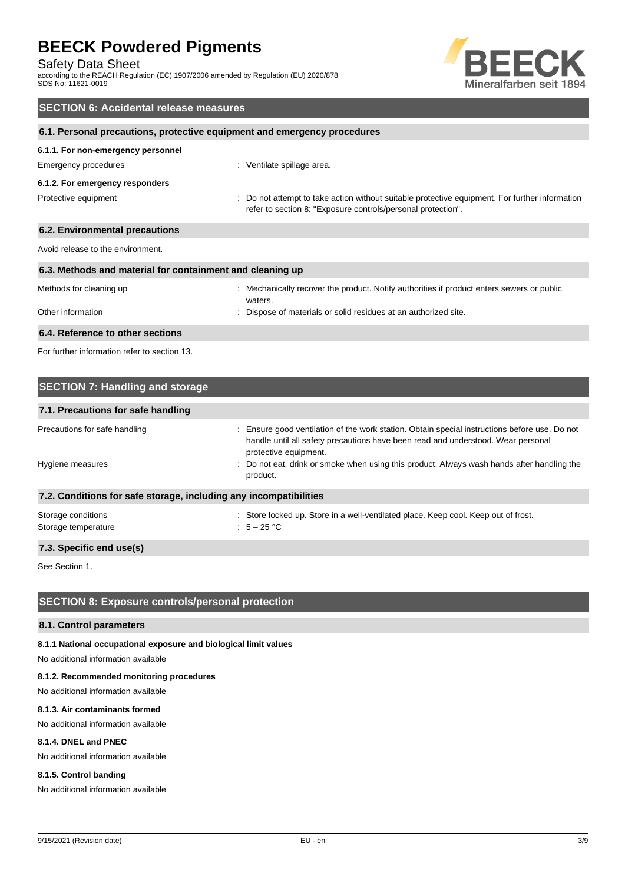Safety Data Sheet

according to the REACH Regulation (EC) 1907/2006 amended by Regulation (EU) 2020/878 SDS No: 11621-0019



# **SECTION 6: Accidental release measures 6.1. Personal precautions, protective equipment and emergency procedures 6.1.1. For non-emergency personnel** Emergency procedures **in the set of the Control** of Ventilate spillage area. **6.1.2. For emergency responders** Protective equipment **interval of the suitable** protective equipment. For further information in the suitable protective equipment. For further information refer to section 8: "Exposure controls/personal protection". **6.2. Environmental precautions** Avoid release to the environment. **6.3. Methods and material for containment and cleaning up** Methods for cleaning up : Mechanically recover the product. Notify authorities if product enters sewers or public waters. Other information **Other information** : Dispose of materials or solid residues at an authorized site. **6.4. Reference to other sections** For further information refer to section 13.

| <b>SECTION 7: Handling and storage</b>                            |                                                                                                                                                                                                            |  |  |  |
|-------------------------------------------------------------------|------------------------------------------------------------------------------------------------------------------------------------------------------------------------------------------------------------|--|--|--|
| 7.1. Precautions for safe handling                                |                                                                                                                                                                                                            |  |  |  |
| Precautions for safe handling                                     | : Ensure good ventilation of the work station. Obtain special instructions before use. Do not<br>handle until all safety precautions have been read and understood. Wear personal<br>protective equipment. |  |  |  |
| Hygiene measures                                                  | : Do not eat, drink or smoke when using this product. Always wash hands after handling the<br>product.                                                                                                     |  |  |  |
| 7.2. Conditions for safe storage, including any incompatibilities |                                                                                                                                                                                                            |  |  |  |
| Storage conditions<br>Storage temperature                         | : Store locked up. Store in a well-ventilated place. Keep cool. Keep out of frost.<br>: $5-25$ °C                                                                                                          |  |  |  |
| 73 Snecific and use(s)                                            |                                                                                                                                                                                                            |  |  |  |

**7.3. Specific end use(s)**

See Section 1.

# **SECTION 8: Exposure controls/personal protection**

# **8.1. Control parameters**

# **8.1.1 National occupational exposure and biological limit values**

No additional information available

## **8.1.2. Recommended monitoring procedures**

No additional information available

# **8.1.3. Air contaminants formed**

No additional information available

# **8.1.4. DNEL and PNEC**

No additional information available

# **8.1.5. Control banding**

No additional information available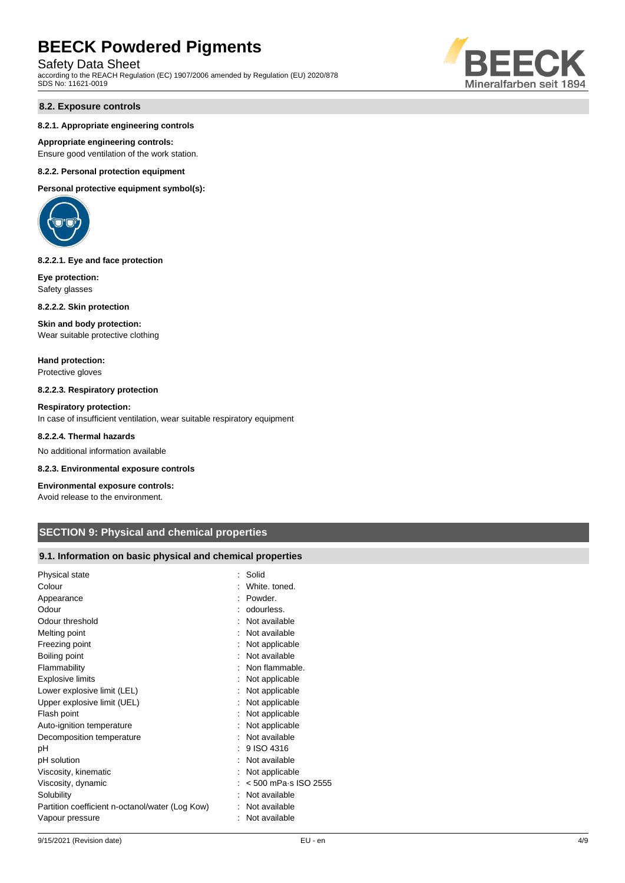# Safety Data Sheet

according to the REACH Regulation (EC) 1907/2006 amended by Regulation (EU) 2020/878 SDS No: 11621-0019

## **8.2. Exposure controls**

#### **8.2.1. Appropriate engineering controls**

**Appropriate engineering controls:** Ensure good ventilation of the work station.

#### **8.2.2. Personal protection equipment**

**Personal protective equipment symbol(s):**



#### **8.2.2.1. Eye and face protection**

**Eye protection:** Safety glasses

**8.2.2.2. Skin protection**

#### **Skin and body protection:**

Wear suitable protective clothing

**Hand protection:** Protective gloves

#### **8.2.2.3. Respiratory protection**

**Respiratory protection:** In case of insufficient ventilation, wear suitable respiratory equipment

#### **8.2.2.4. Thermal hazards**

No additional information available

### **8.2.3. Environmental exposure controls**

### **Environmental exposure controls:**

Avoid release to the environment.

# **SECTION 9: Physical and chemical properties**

## **9.1. Information on basic physical and chemical properties**

| Physical state                                  | : Solid                          |
|-------------------------------------------------|----------------------------------|
| Colour                                          | : White, toned.                  |
| Appearance                                      | Powder.                          |
| Odour                                           | : odourless.                     |
| Odour threshold                                 | : Not available                  |
| Melting point                                   | Not available                    |
| Freezing point                                  | : Not applicable                 |
| Boiling point                                   | : Not available                  |
| Flammability                                    | Non flammable.                   |
| <b>Explosive limits</b>                         | : Not applicable                 |
| Lower explosive limit (LEL)                     | : Not applicable                 |
| Upper explosive limit (UEL)                     | Not applicable                   |
| Flash point                                     | : Not applicable                 |
| Auto-ignition temperature                       | Not applicable                   |
| Decomposition temperature                       | Not available                    |
| рH                                              | $: 9$ ISO 4316                   |
| pH solution                                     | Not available                    |
| Viscosity, kinematic                            | Not applicable                   |
| Viscosity, dynamic                              | $: < 500$ mPa $\cdot$ s ISO 2555 |
| Solubility                                      | Not available                    |
| Partition coefficient n-octanol/water (Log Kow) | Not available                    |
| Vapour pressure                                 | : Not available                  |
|                                                 |                                  |

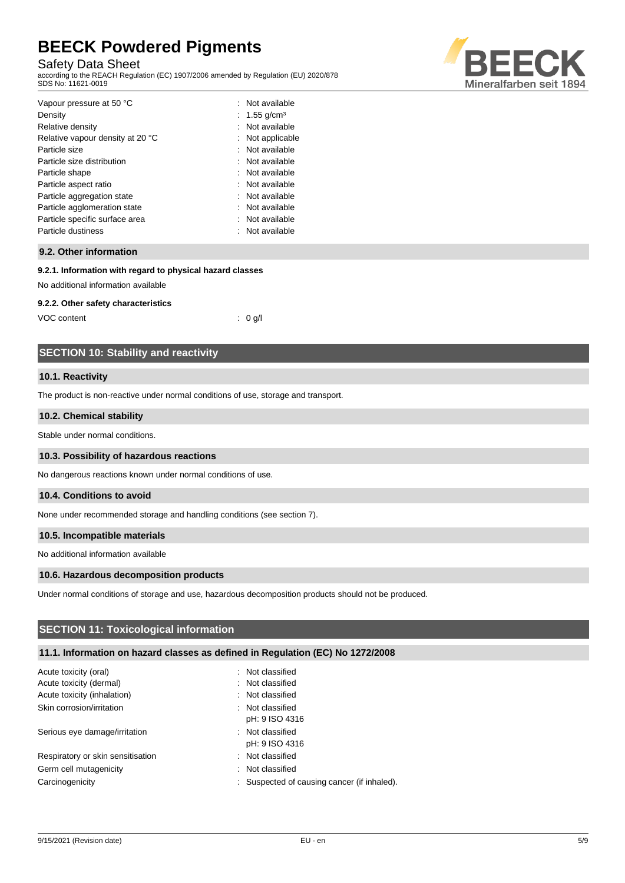# Safety Data Sheet

according to the REACH Regulation (EC) 1907/2006 amended by Regulation (EU) 2020/878 SDS No: 11621-0019



| : Not available          |
|--------------------------|
| : 1.55 g/cm <sup>3</sup> |
| : Not available          |
| : Not applicable         |
| : Not available          |
| : Not available          |
| : Not available          |
| : Not available          |
| : Not available          |
| : Not available          |
| : Not available          |
| : Not available          |
|                          |

## **9.2. Other information**

## **9.2.1. Information with regard to physical hazard classes**

No additional information available

### **9.2.2. Other safety characteristics**

VOC content : 0 g/l

## **SECTION 10: Stability and reactivity**

#### **10.1. Reactivity**

The product is non-reactive under normal conditions of use, storage and transport.

#### **10.2. Chemical stability**

Stable under normal conditions.

#### **10.3. Possibility of hazardous reactions**

No dangerous reactions known under normal conditions of use.

#### **10.4. Conditions to avoid**

None under recommended storage and handling conditions (see section 7).

### **10.5. Incompatible materials**

No additional information available

#### **10.6. Hazardous decomposition products**

Under normal conditions of storage and use, hazardous decomposition products should not be produced.

## **SECTION 11: Toxicological information**

## **11.1. Information on hazard classes as defined in Regulation (EC) No 1272/2008**

| Acute toxicity (oral)             | : Not classified                            |
|-----------------------------------|---------------------------------------------|
| Acute toxicity (dermal)           | : Not classified                            |
| Acute toxicity (inhalation)       | : Not classified                            |
| Skin corrosion/irritation         | : Not classified                            |
|                                   | pH: 9 ISO 4316                              |
| Serious eye damage/irritation     | : Not classified                            |
|                                   | pH: 9 ISO 4316                              |
| Respiratory or skin sensitisation | : Not classified                            |
| Germ cell mutagenicity            | : Not classified                            |
| Carcinogenicity                   | : Suspected of causing cancer (if inhaled). |
|                                   |                                             |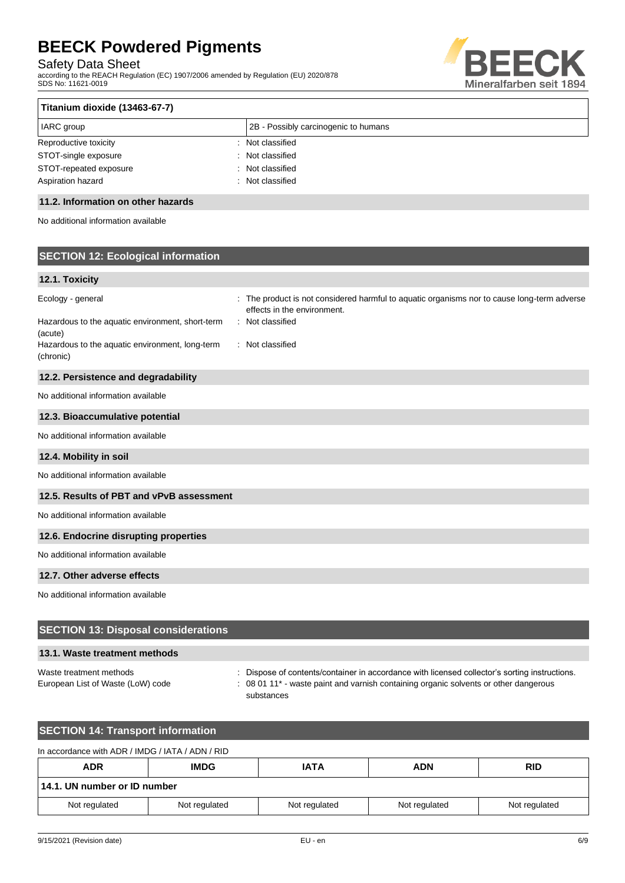Safety Data Sheet

according to the REACH Regulation (EC) 1907/2006 amended by Regulation (EU) 2020/878 SDS No: 11621-0019



| Titanium dioxide (13463-67-7)        |  |  |
|--------------------------------------|--|--|
| 2B - Possibly carcinogenic to humans |  |  |
| Not classified                       |  |  |
| Not classified                       |  |  |
| : Not classified                     |  |  |
| Not classified                       |  |  |
|                                      |  |  |

## **11.2. Information on other hazards**

No additional information available

# **SECTION 12: Ecological information**

## **12.1. Toxicity**

| Ecology - general                                            | : The product is not considered harmful to aquatic organisms nor to cause long-term adverse<br>effects in the environment. |
|--------------------------------------------------------------|----------------------------------------------------------------------------------------------------------------------------|
| Hazardous to the aquatic environment, short-term<br>(acute)  | : Not classified                                                                                                           |
| Hazardous to the aquatic environment, long-term<br>(chronic) | : Not classified                                                                                                           |
| 12.2. Persistence and degradability                          |                                                                                                                            |
| No additional information available                          |                                                                                                                            |
| 12.3. Bioaccumulative potential                              |                                                                                                                            |
| No additional information available                          |                                                                                                                            |
| 12.4. Mobility in soil                                       |                                                                                                                            |
| No additional information available                          |                                                                                                                            |
| 12.5. Results of PBT and vPvB assessment                     |                                                                                                                            |
| No additional information available                          |                                                                                                                            |
| 12.6. Endocrine disrupting properties                        |                                                                                                                            |
| No additional information available                          |                                                                                                                            |
| 12.7. Other adverse effects                                  |                                                                                                                            |
| No additional information available                          |                                                                                                                            |

## **SECTION 13: Disposal considerations**

## **13.1. Waste treatment methods**

Waste treatment methods : Dispose of contents/container in accordance with licensed collector's sorting instructions. European List of Waste (LoW) code : 08 01 11<sup>\*</sup> - waste paint and varnish containing organic solvents or other dangerous substances

# **SECTION 14: Transport information**

| In accordance with ADR / IMDG / IATA / ADN / RID |               |               |               |               |
|--------------------------------------------------|---------------|---------------|---------------|---------------|
| <b>ADR</b>                                       | <b>IMDG</b>   | <b>IATA</b>   | <b>ADN</b>    | <b>RID</b>    |
| 14.1. UN number or ID number                     |               |               |               |               |
| Not regulated                                    | Not regulated | Not regulated | Not regulated | Not regulated |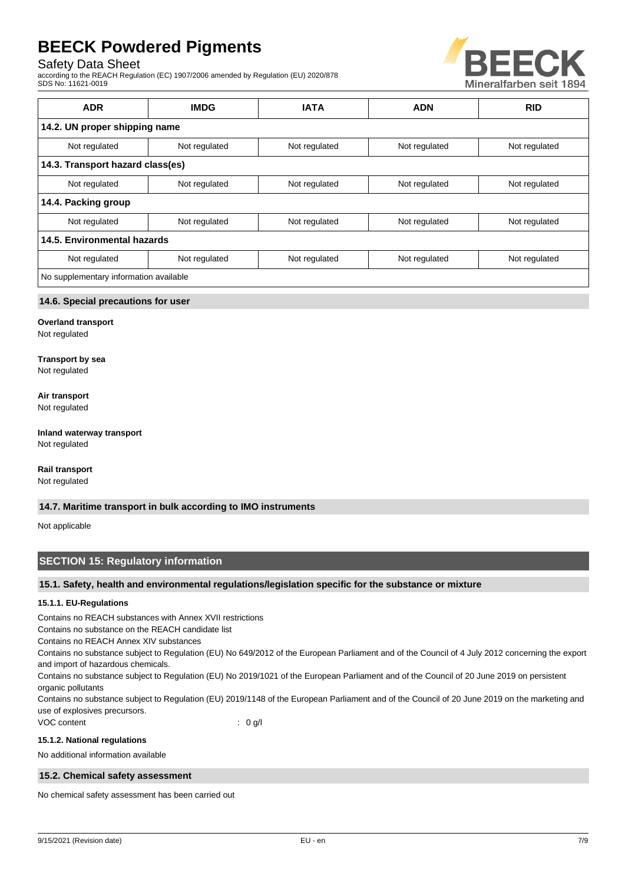## Safety Data Sheet

according to the REACH Regulation (EC) 1907/2006 amended by Regulation (EU) 2020/878 SDS No: 11621-0019



| <b>ADR</b>                             | <b>IMDG</b>   | <b>IATA</b>   | <b>ADN</b>    | <b>RID</b>    |
|----------------------------------------|---------------|---------------|---------------|---------------|
| 14.2. UN proper shipping name          |               |               |               |               |
| Not regulated                          | Not regulated | Not regulated | Not regulated | Not regulated |
| 14.3. Transport hazard class(es)       |               |               |               |               |
| Not regulated                          | Not regulated | Not regulated | Not regulated | Not regulated |
| 14.4. Packing group                    |               |               |               |               |
| Not regulated                          | Not regulated | Not regulated | Not regulated | Not regulated |
| 14.5. Environmental hazards            |               |               |               |               |
| Not regulated                          | Not regulated | Not regulated | Not regulated | Not regulated |
| No supplementary information available |               |               |               |               |

## **14.6. Special precautions for user**

#### **Overland transport**

Not regulated

#### **Transport by sea**

Not regulated

#### **Air transport**

Not regulated

## **Inland waterway transport**

Not regulated

### **Rail transport**

Not regulated

#### **14.7. Maritime transport in bulk according to IMO instruments**

Not applicable

# **SECTION 15: Regulatory information**

## **15.1. Safety, health and environmental regulations/legislation specific for the substance or mixture**

## **15.1.1. EU-Regulations**

Contains no REACH substances with Annex XVII restrictions

Contains no substance on the REACH candidate list

Contains no REACH Annex XIV substances

Contains no substance subject to Regulation (EU) No 649/2012 of the European Parliament and of the Council of 4 July 2012 concerning the export and import of hazardous chemicals.

Contains no substance subject to Regulation (EU) No 2019/1021 of the European Parliament and of the Council of 20 June 2019 on persistent organic pollutants

Contains no substance subject to Regulation (EU) 2019/1148 of the European Parliament and of the Council of 20 June 2019 on the marketing and use of explosives precursors.

VOC content : 0 g/l

#### **15.1.2. National regulations**

No additional information available

## **15.2. Chemical safety assessment**

No chemical safety assessment has been carried out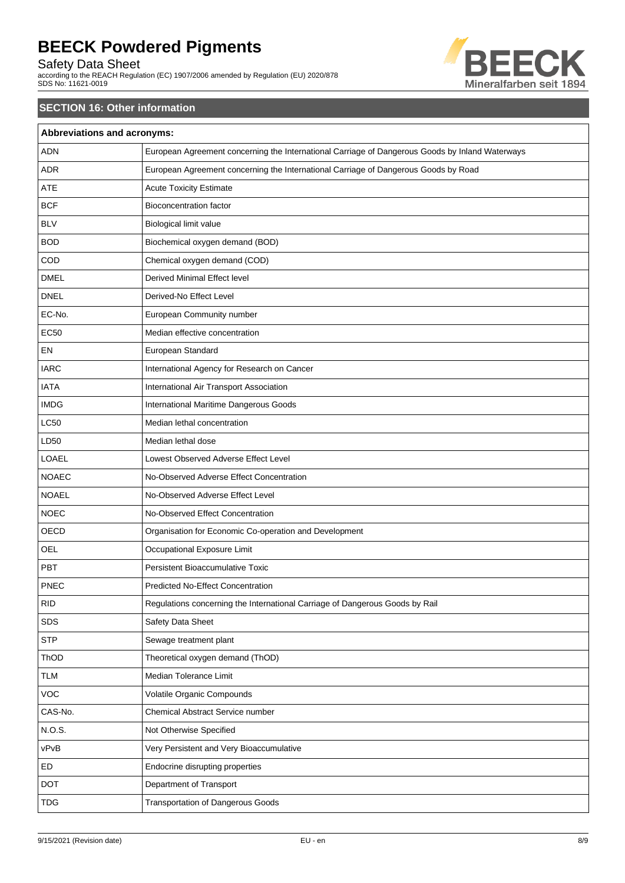# Safety Data Sheet

according to the REACH Regulation (EC) 1907/2006 amended by Regulation (EU) 2020/878 SDS No: 11621-0019



# **SECTION 16: Other information**

| Abbreviations and acronyms: |                                                                                                 |  |
|-----------------------------|-------------------------------------------------------------------------------------------------|--|
| <b>ADN</b>                  | European Agreement concerning the International Carriage of Dangerous Goods by Inland Waterways |  |
| <b>ADR</b>                  | European Agreement concerning the International Carriage of Dangerous Goods by Road             |  |
| <b>ATE</b>                  | <b>Acute Toxicity Estimate</b>                                                                  |  |
| <b>BCF</b>                  | <b>Bioconcentration factor</b>                                                                  |  |
| <b>BLV</b>                  | Biological limit value                                                                          |  |
| <b>BOD</b>                  | Biochemical oxygen demand (BOD)                                                                 |  |
| COD                         | Chemical oxygen demand (COD)                                                                    |  |
| <b>DMEL</b>                 | Derived Minimal Effect level                                                                    |  |
| <b>DNEL</b>                 | Derived-No Effect Level                                                                         |  |
| EC-No.                      | European Community number                                                                       |  |
| <b>EC50</b>                 | Median effective concentration                                                                  |  |
| EN                          | European Standard                                                                               |  |
| <b>IARC</b>                 | International Agency for Research on Cancer                                                     |  |
| <b>IATA</b>                 | International Air Transport Association                                                         |  |
| <b>IMDG</b>                 | International Maritime Dangerous Goods                                                          |  |
| <b>LC50</b>                 | Median lethal concentration                                                                     |  |
| LD50                        | Median lethal dose                                                                              |  |
| LOAEL                       | Lowest Observed Adverse Effect Level                                                            |  |
| <b>NOAEC</b>                | No-Observed Adverse Effect Concentration                                                        |  |
| <b>NOAEL</b>                | No-Observed Adverse Effect Level                                                                |  |
| <b>NOEC</b>                 | No-Observed Effect Concentration                                                                |  |
| OECD                        | Organisation for Economic Co-operation and Development                                          |  |
| OEL                         | Occupational Exposure Limit                                                                     |  |
| PBT                         | <b>Persistent Bioaccumulative Toxic</b>                                                         |  |
| PNEC                        | Predicted No-Effect Concentration                                                               |  |
| <b>RID</b>                  | Regulations concerning the International Carriage of Dangerous Goods by Rail                    |  |
| SDS                         | Safety Data Sheet                                                                               |  |
| <b>STP</b>                  | Sewage treatment plant                                                                          |  |
| ThOD                        | Theoretical oxygen demand (ThOD)                                                                |  |
| <b>TLM</b>                  | Median Tolerance Limit                                                                          |  |
| <b>VOC</b>                  | Volatile Organic Compounds                                                                      |  |
| CAS-No.                     | Chemical Abstract Service number                                                                |  |
| N.O.S.                      | Not Otherwise Specified                                                                         |  |
| vPvB                        | Very Persistent and Very Bioaccumulative                                                        |  |
| ED                          | Endocrine disrupting properties                                                                 |  |
| <b>DOT</b>                  | Department of Transport                                                                         |  |
| <b>TDG</b>                  | <b>Transportation of Dangerous Goods</b>                                                        |  |